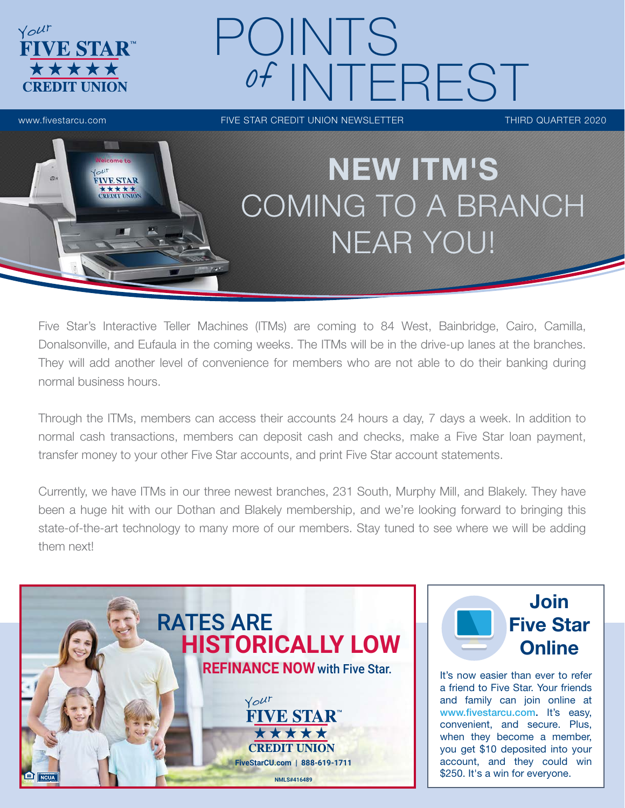

## POINTS of INTEREST

www.fivestarcu.com THIRD QUARTER 2020



### NEW ITM'S COMING TO A BRANCH NEAR YOU!

Five Star's Interactive Teller Machines (ITMs) are coming to 84 West, Bainbridge, Cairo, Camilla, Donalsonville, and Eufaula in the coming weeks. The ITMs will be in the drive-up lanes at the branches. They will add another level of convenience for members who are not able to do their banking during normal business hours.

Through the ITMs, members can access their accounts 24 hours a day, 7 days a week. In addition to normal cash transactions, members can deposit cash and checks, make a Five Star loan payment, transfer money to your other Five Star accounts, and print Five Star account statements.

Currently, we have ITMs in our three newest branches, 231 South, Murphy Mill, and Blakely. They have been a huge hit with our Dothan and Blakely membership, and we're looking forward to bringing this state-of-the-art technology to many more of our members. Stay tuned to see where we will be adding them next!





It's now easier than ever to refer a friend to Five Star. Your friends and family can join online at www.fivestarcu.com. It's easy, convenient, and secure. Plus, when they become a member, you get \$10 deposited into your account, and they could win \$250. It's a win for everyone.